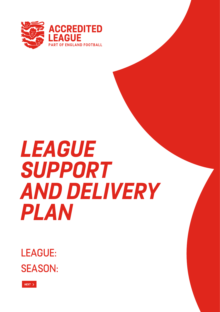

# *LEAGUE SUPPORT AND DELIVERY PLAN*

SEASON: LEAGUE:

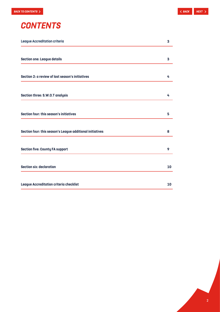

| <b>League Accreditation criteria</b>                      |    |
|-----------------------------------------------------------|----|
| <b>Section one: League details</b>                        | 3  |
| Section 2: a review of last season's initiatives          | 4  |
| Section three: S.W.O.T analysis                           | 4  |
| Section four: this season's initiatives                   | 5  |
| Section four: this season's League additional initiatives | 8  |
| <b>Section five: County FA support</b>                    | 9  |
| <b>Section six: declaration</b>                           | 10 |
| League Accreditation criteria checklist                   | 10 |

2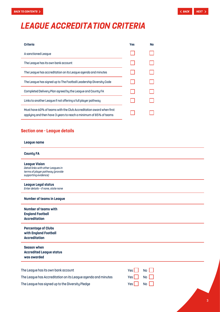# <span id="page-2-0"></span>*LEAGUE ACCREDITATION CRITERIA*

| <b>Criteria</b>                                                                                                                          | <b>Yes</b> | <b>No</b> |
|------------------------------------------------------------------------------------------------------------------------------------------|------------|-----------|
| A sanctioned League                                                                                                                      |            |           |
| The League has its own bank account                                                                                                      |            |           |
| The League has accreditation on its League agenda and minutes                                                                            |            |           |
| The League has signed up to The Football Leadership Diversity Code                                                                       |            |           |
| Completed Delivery Plan agreed by the League and County FA                                                                               |            |           |
| Links to another League if not offering a full player pathway                                                                            |            |           |
| Must have 60% of teams with the Club Accreditation award when first<br>applying and then have 3 years to reach a minimum of 85% of teams |            |           |

# **Section one - League details**

#### **League name**

#### **County FA**

**League Vision**  *Detail links with other Leagues in terms of player pathway (provide supporting evidence)*

**League Legal status** *Enter details – if none, state none*

#### **Number of teams in League**

| Number of teams with    |
|-------------------------|
| <b>England Football</b> |
| <b>Accreditation</b>    |

**Percentage of Clubs with England Football Accreditation**

**Season when Accredited League status was awarded**

| The League has its own bank account                           | $Yes \nightharpoonup No \nightharpoonup$ |  |
|---------------------------------------------------------------|------------------------------------------|--|
| The League has Accreditation on its League agenda and minutes | $Yes \nightharpoonup No \nightharpoonup$ |  |
| The League has signed up to the Diversity Pledge              | $Yes \tN0$                               |  |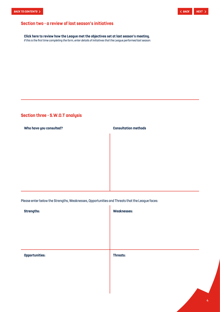# <span id="page-3-0"></span>**Section two - a review of last season's initiatives**

**Click here to review how the League met the objectives set at last season's meeting.**  *If this is the first time completing the form, enter details of initiatives that the League performed last season.*

# **Section three - S.W.O.T analysis**

**Who have you consulted? Consultation methods**

Please enter below the Strengths, Weaknesses, Opportunities and Threats that the League faces:

| <b>Strengths:</b>     | <b>Weaknesses:</b> |
|-----------------------|--------------------|
|                       |                    |
|                       |                    |
|                       |                    |
| <b>Opportunities:</b> | Threats:           |
|                       |                    |
|                       |                    |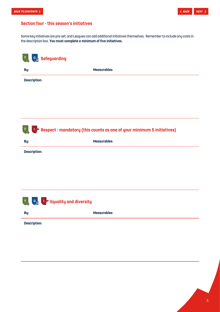<span id="page-4-0"></span>

# **Section four - this season's initiatives**

Some key initiatives are pre-set, and Leagues can add additional initiatives themselves. Remember to include any costs in the description box. **You must complete a minimum of five initiatives.**

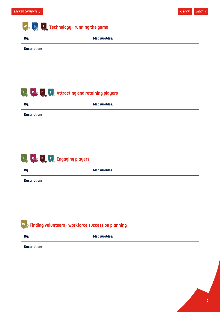# **Technology - running the game**

| By:                 | <b>Measurables:</b> |
|---------------------|---------------------|
| <b>Description:</b> |                     |
|                     |                     |
|                     |                     |
|                     |                     |



**Description:**



**By: Measurables:**

**Description:**

# **Finding volunteers - workforce succession planning**

**By: Measurables: Description:**

6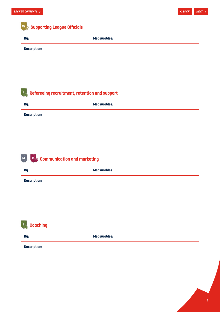| By:                      | <b>Measurables:</b>                                |  |
|--------------------------|----------------------------------------------------|--|
| <b>Description:</b>      |                                                    |  |
|                          |                                                    |  |
|                          |                                                    |  |
| $F_{\rm g}$              | Refereeing recruitment, retention and support      |  |
| By:                      | <b>Measurables:</b>                                |  |
|                          |                                                    |  |
| <b>Description:</b>      |                                                    |  |
|                          |                                                    |  |
|                          |                                                    |  |
|                          |                                                    |  |
|                          |                                                    |  |
|                          |                                                    |  |
| By:                      | Communication and marketing<br><b>Measurables:</b> |  |
|                          |                                                    |  |
| M<br><b>Description:</b> |                                                    |  |
|                          |                                                    |  |
|                          |                                                    |  |
|                          |                                                    |  |
|                          |                                                    |  |
| <b>Coaching</b>          |                                                    |  |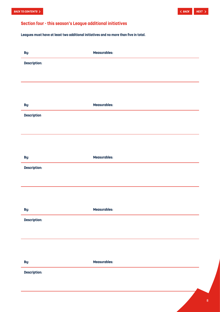# <span id="page-7-0"></span>**Section four - this season's League additional initiatives**

**Leagues must have at least two additional initiatives and no more than five in total.**

| By:                 | <b>Measurables:</b> |
|---------------------|---------------------|
| <b>Description:</b> |                     |
|                     |                     |
|                     |                     |
|                     |                     |
| By:                 | <b>Measurables:</b> |
| <b>Description</b>  |                     |
|                     |                     |
|                     |                     |
|                     |                     |
| By:                 | <b>Measurables:</b> |
| <b>Description:</b> |                     |
|                     |                     |
|                     |                     |
|                     |                     |
| By:                 | <b>Measurables:</b> |
| <b>Description:</b> |                     |
|                     |                     |
|                     |                     |
|                     |                     |
| By:                 | <b>Measurables:</b> |
| <b>Description:</b> |                     |
|                     |                     |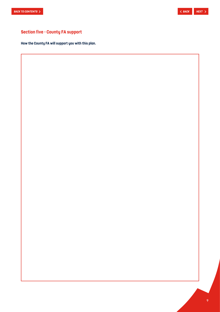# <span id="page-8-0"></span>**Section five - County FA support**

**How the County FA will support you with this plan.**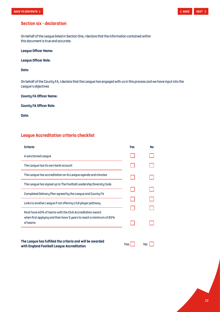# <span id="page-9-0"></span>**Section six - declaration**

On behalf of the League listed in Section One, I declare that the information contained within this document is true and accurate:

## **League Officer Name:**

**League Officer Role:**

# **Date:**

On behalf of the County FA, I declare that the League has engaged with us in this process and we have input into the League's objectives

# **County FA Officer Name:**

## **County FA Officer Role:**

**Date:**

# **League Accreditation criteria checklist**

| <b>Criteria</b>                                                                                         | <b>Yes</b> | <b>No</b> |
|---------------------------------------------------------------------------------------------------------|------------|-----------|
| A sanctioned League                                                                                     |            |           |
| The League has its own bank account                                                                     |            |           |
| The League has accreditation on its League agenda and minutes                                           |            |           |
| The League has signed up to The Football Leadership Diversity Code.                                     |            |           |
| Completed Delivery Plan agreed by the League and County FA                                              |            |           |
| Links to another League if not offering a full player pathway                                           |            |           |
| Must have 60% of teams with the Club Accreditation award                                                |            |           |
| when first applying and then have 3 years to reach a minimum of 85%<br>of teams                         |            |           |
| The League has fulfilled the criteria and will be awarded<br>with England Football League Accreditation | <b>Yes</b> | N٥        |